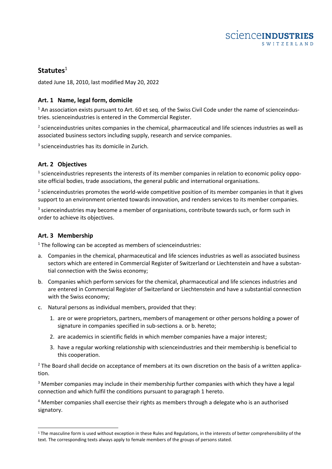# **Statutes**<sup>1</sup>

dated June 18, 2010, last modified May 20, 2022

# **Art. 1 Name, legal form, domicile**

 $1$  An association exists pursuant to Art. 60 et seq. of the Swiss Civil Code under the name of scienceindustries. scienceindustries is entered in the Commercial Register.

 $<sup>2</sup>$  scienceindustries unites companies in the chemical, pharmaceutical and life sciences industries as well as</sup> associated business sectors including supply, research and service companies.

<sup>3</sup> scienceindustries has its domicile in Zurich.

# **Art. 2 Objectives**

 $<sup>1</sup>$  scienceindustries represents the interests of its member companies in relation to economic policy oppo-</sup> site official bodies, trade associations, the general public and international organisations.

 $2$  scienceindustries promotes the world-wide competitive position of its member companies in that it gives support to an environment oriented towards innovation, and renders services to its member companies.

 $3$  scienceindustries may become a member of organisations, contribute towards such, or form such in order to achieve its objectives.

## **Art. 3 Membership**

 $1$  The following can be accepted as members of scienceindustries:

- a. Companies in the chemical, pharmaceutical and life sciences industries as well as associated business sectors which are entered in Commercial Register of Switzerland or Liechtenstein and have a substantial connection with the Swiss economy;
- b. Companies which perform services for the chemical, pharmaceutical and life sciences industries and are entered in Commercial Register of Switzerland or Liechtenstein and have a substantial connection with the Swiss economy;
- c. Natural persons as individual members, provided that they:
	- 1. are or were proprietors, partners, members of management or other persons holding a power of signature in companies specified in sub-sections a. or b. hereto;
	- 2. are academics in scientific fields in which member companies have a major interest;
	- 3. have a regular working relationship with scienceindustries and their membership is beneficial to this cooperation.

<sup>2</sup> The Board shall decide on acceptance of members at its own discretion on the basis of a written application.

<sup>3</sup> Member companies may include in their membership further companies with which they have a legal connection and which fulfil the conditions pursuant to paragraph 1 hereto.

<sup>4</sup> Member companies shall exercise their rights as members through a delegate who is an authorised signatory.

<sup>&</sup>lt;sup>1</sup> The masculine form is used without exception in these Rules and Regulations, in the interests of better comprehensibility of the text. The corresponding texts always apply to female members of the groups of persons stated.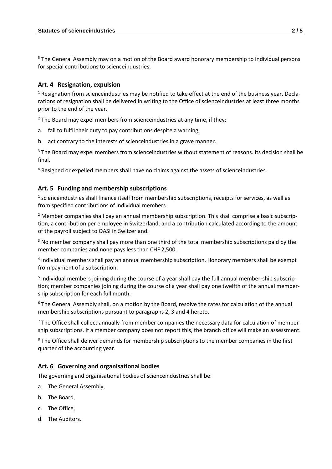<sup>5</sup> The General Assembly may on a motion of the Board award honorary membership to individual persons for special contributions to scienceindustries.

## **Art. 4 Resignation, expulsion**

<sup>1</sup> Resignation from scienceindustries may be notified to take effect at the end of the business year. Declarations of resignation shall be delivered in writing to the Office of scienceindustries at least three months prior to the end of the year.

 $2$  The Board may expel members from scienceindustries at any time, if they:

a. fail to fulfil their duty to pay contributions despite a warning,

b. act contrary to the interests of scienceindustries in a grave manner.

<sup>3</sup> The Board may expel members from scienceindustries without statement of reasons. Its decision shall be final.

<sup>4</sup> Resigned or expelled members shall have no claims against the assets of scienceindustries.

## **Art. 5 Funding and membership subscriptions**

 $<sup>1</sup>$  scienceindustries shall finance itself from membership subscriptions, receipts for services, as well as</sup> from specified contributions of individual members.

<sup>2</sup> Member companies shall pay an annual membership subscription. This shall comprise a basic subscription, a contribution per employee in Switzerland, and a contribution calculated according to the amount of the payroll subject to OASI in Switzerland.

 $3$  No member company shall pay more than one third of the total membership subscriptions paid by the member companies and none pays less than CHF 2,500.

<sup>4</sup> Individual members shall pay an annual membership subscription. Honorary members shall be exempt from payment of a subscription.

5 Individual members joining during the course of a year shall pay the full annual member-ship subscription; member companies joining during the course of a year shall pay one twelfth of the annual membership subscription for each full month.

<sup>6</sup> The General Assembly shall, on a motion by the Board, resolve the rates for calculation of the annual membership subscriptions pursuant to paragraphs 2, 3 and 4 hereto.

 $<sup>7</sup>$  The Office shall collect annually from member companies the necessary data for calculation of member-</sup> ship subscriptions. If a member company does not report this, the branch office will make an assessment.

<sup>8</sup> The Office shall deliver demands for membership subscriptions to the member companies in the first quarter of the accounting year.

## **Art. 6 Governing and organisational bodies**

The governing and organisational bodies of scienceindustries shall be:

- a. The General Assembly,
- b. The Board,
- c. The Office,
- d. The Auditors.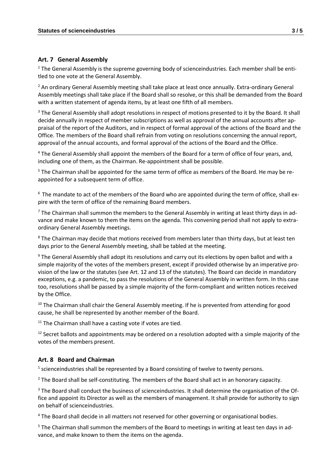#### **Art. 7 General Assembly**

 $1$  The General Assembly is the supreme governing body of scienceindustries. Each member shall be entitled to one vote at the General Assembly.

<sup>2</sup> An ordinary General Assembly meeting shall take place at least once annually. Extra-ordinary General Assembly meetings shall take place if the Board shall so resolve, or this shall be demanded from the Board with a written statement of agenda items, by at least one fifth of all members.

<sup>3</sup> The General Assembly shall adopt resolutions in respect of motions presented to it by the Board. It shall decide annually in respect of member subscriptions as well as approval of the annual accounts after appraisal of the report of the Auditors, and in respect of formal approval of the actions of the Board and the Office. The members of the Board shall refrain from voting on resolutions concerning the annual report, approval of the annual accounts, and formal approval of the actions of the Board and the Office.

<sup>4</sup> The General Assembly shall appoint the members of the Board for a term of office of four years, and, including one of them, as the Chairman. Re-appointment shall be possible.

<sup>5</sup> The Chairman shall be appointed for the same term of office as members of the Board. He may be reappointed for a subsequent term of office.

<sup>6</sup> The mandate to act of the members of the Board who are appointed during the term of office, shall expire with the term of office of the remaining Board members.

 $<sup>7</sup>$  The Chairman shall summon the members to the General Assembly in writing at least thirty days in ad-</sup> vance and make known to them the items on the agenda. This convening period shall not apply to extraordinary General Assembly meetings.

<sup>8</sup> The Chairman may decide that motions received from members later than thirty days, but at least ten days prior to the General Assembly meeting, shall be tabled at the meeting.

<sup>9</sup> The General Assembly shall adopt its resolutions and carry out its elections by open ballot and with a simple majority of the votes of the members present, except if provided otherwise by an imperative provision of the law or the statutes (see Art. 12 and 13 of the statutes). The Board can decide in mandatory exceptions, e.g. a pandemic, to pass the resolutions of the General Assembly in written form. In this case too, resolutions shall be passed by a simple majority of the form-compliant and written notices received by the Office.

 $10$  The Chairman shall chair the General Assembly meeting. If he is prevented from attending for good cause, he shall be represented by another member of the Board.

 $11$  The Chairman shall have a casting vote if votes are tied.

 $12$  Secret ballots and appointments may be ordered on a resolution adopted with a simple majority of the votes of the members present.

## **Art. 8 Board and Chairman**

 $<sup>1</sup>$  scienceindustries shall be represented by a Board consisting of twelve to twenty persons.</sup>

<sup>2</sup> The Board shall be self-constituting. The members of the Board shall act in an honorary capacity.

<sup>3</sup> The Board shall conduct the business of scienceindustries. It shall determine the organisation of the Office and appoint its Director as well as the members of management. It shall provide for authority to sign on behalf of scienceindustries.

<sup>4</sup> The Board shall decide in all matters not reserved for other governing or organisational bodies.

<sup>5</sup> The Chairman shall summon the members of the Board to meetings in writing at least ten days in advance, and make known to them the items on the agenda.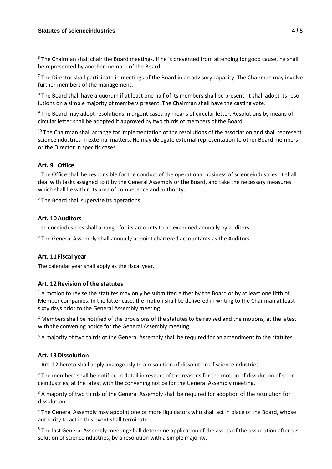$6$  The Chairman shall chair the Board meetings. If he is prevented from attending for good cause, he shall be represented by another member of the Board.

 $<sup>7</sup>$  The Director shall participate in meetings of the Board in an advisory capacity. The Chairman may involve</sup> further members of the management.

<sup>8</sup> The Board shall have a quorum if at least one half of its members shall be present. It shall adopt its resolutions on a simple majority of members present. The Chairman shall have the casting vote.

<sup>9</sup> The Board may adopt resolutions in urgent cases by means of circular letter. Resolutions by means of circular letter shall be adopted if approved by two thirds of members of the Board.

<sup>10</sup> The Chairman shall arrange for implementation of the resolutions of the association and shall represent scienceindustries in external matters. He may delegate external representation to other Board members or the Director in specific cases.

## **Art. 9 Office**

 $<sup>1</sup>$  The Office shall be responsible for the conduct of the operational business of scienceindustries. It shall</sup> deal with tasks assigned to it by the General Assembly or the Board, and take the necessary measures which shall lie within its area of competence and authority.

<sup>2</sup> The Board shall supervise its operations.

#### **Art. 10Auditors**

 $<sup>1</sup>$  scienceindustries shall arrange for its accounts to be examined annually by auditors.</sup>

<sup>2</sup> The General Assembly shall annually appoint chartered accountants as the Auditors.

#### **Art. 11 Fiscal year**

The calendar year shall apply as the fiscal year.

#### **Art. 12Revision of the statutes**

 $1$  A motion to revise the statutes may only be submitted either by the Board or by at least one fifth of Member companies. In the latter case, the motion shall be delivered in writing to the Chairman at least sixty days prior to the General Assembly meeting.

 $<sup>2</sup>$  Members shall be notified of the provisions of the statutes to be revised and the motions, at the latest</sup> with the convening notice for the General Assembly meeting.

<sup>3</sup> A majority of two thirds of the General Assembly shall be required for an amendment to the statutes.

#### **Art. 13Dissolution**

<sup>1</sup> Art. 12 hereto shall apply analogously to a resolution of dissolution of scienceindustries.

<sup>2</sup> The members shall be notified in detail in respect of the reasons for the motion of dissolution of scienceindustries, at the latest with the convening notice for the General Assembly meeting.

<sup>3</sup> A majority of two thirds of the General Assembly shall be required for adoption of the resolution for dissolution.

<sup>4</sup> The General Assembly may appoint one or more liquidators who shall act in place of the Board, whose authority to act in this event shall terminate.

<sup>5</sup> The last General Assembly meeting shall determine application of the assets of the association after dissolution of scienceindustries, by a resolution with a simple majority.